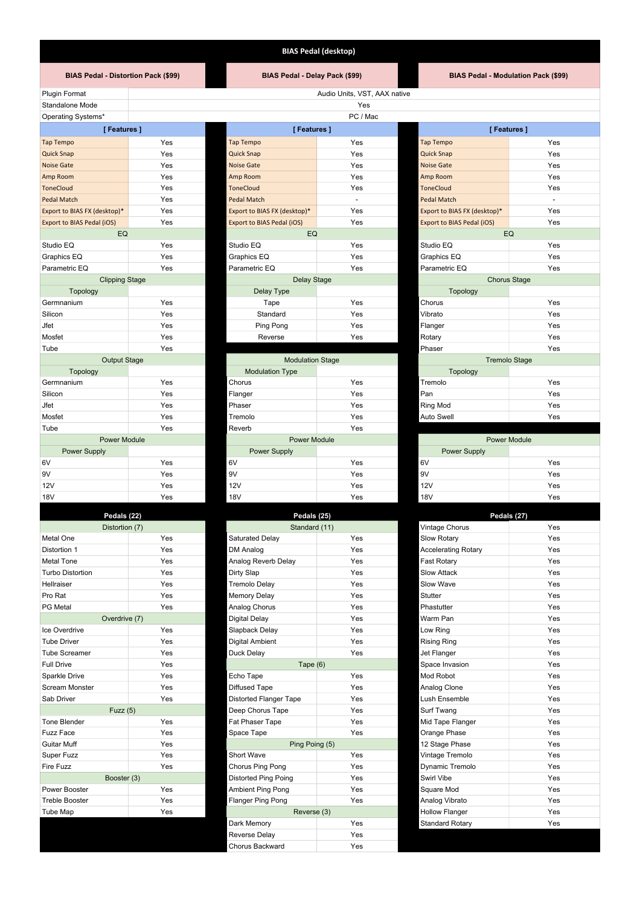## **BIAS Pedal (desktop)**

### **BIAS Pedal - Distortion Pack (\$99) BIAS Pedal - Delay Pack (\$99) BIAS Pedal - Modulation Pack (\$99)**

Plugin Format **Audio Units, VST, AAX native** Audio Units, VST, AAX native Standalone Mode

# Operating Systems\*

| [Features]                   |     | [Features]                   |                         | [Features]                   |                      |  |
|------------------------------|-----|------------------------------|-------------------------|------------------------------|----------------------|--|
| <b>Tap Tempo</b>             | Yes | Tap Tempo                    | Yes                     | Tap Tempo                    | Yes                  |  |
| <b>Quick Snap</b>            | Yes | <b>Quick Snap</b>            | Yes                     | <b>Quick Snap</b>            | Yes                  |  |
| <b>Noise Gate</b>            | Yes | <b>Noise Gate</b>            | Yes                     | <b>Noise Gate</b>            | Yes                  |  |
| Amp Room                     | Yes | Amp Room                     | Yes                     | Amp Room                     | Yes                  |  |
| <b>ToneCloud</b>             | Yes | <b>ToneCloud</b>             | Yes                     | <b>ToneCloud</b>             | Yes                  |  |
| <b>Pedal Match</b>           | Yes | <b>Pedal Match</b>           | $\sim$                  | <b>Pedal Match</b>           |                      |  |
| Export to BIAS FX (desktop)* | Yes | Export to BIAS FX (desktop)* | Yes                     | Export to BIAS FX (desktop)* | Yes                  |  |
| Export to BIAS Pedal (iOS)   | Yes | Export to BIAS Pedal (iOS)   | Yes                     | Export to BIAS Pedal (iOS)   | Yes                  |  |
| EQ                           |     | EQ                           |                         | EQ                           |                      |  |
| Studio EQ                    | Yes | Studio EQ                    | Yes                     | Studio EQ                    | Yes                  |  |
| Graphics EQ                  | Yes | Graphics EQ                  | Yes                     | Graphics EQ                  | Yes                  |  |
| Parametric EQ                | Yes | Parametric EQ                | Yes                     | Parametric EQ                | Yes                  |  |
| <b>Clipping Stage</b>        |     |                              | Delay Stage             |                              | <b>Chorus Stage</b>  |  |
| Topology                     |     | Delay Type                   |                         | Topology                     |                      |  |
| Germnanium                   | Yes | Tape                         | Yes                     | Chorus                       | Yes                  |  |
| Silicon                      | Yes | Standard                     | Yes                     | Vibrato                      | Yes                  |  |
| Jfet                         | Yes | Ping Pong                    | Yes                     | Flanger                      | Yes                  |  |
| Mosfet                       | Yes | Reverse                      | Yes                     | Rotary                       | Yes                  |  |
| Tube                         | Yes |                              |                         | Phaser                       | Yes                  |  |
| <b>Output Stage</b>          |     |                              | <b>Modulation Stage</b> |                              | <b>Tremolo Stage</b> |  |
| Topology                     |     | <b>Modulation Type</b>       |                         | Topology                     |                      |  |
| Germnanium                   | Yes | Chorus                       | Yes                     | Tremolo                      | Yes                  |  |
| Silicon                      | Yes | Flanger                      | Yes                     | Pan                          | Yes                  |  |
| Jfet                         | Yes | Phaser                       | Yes                     | Ring Mod                     | Yes                  |  |
| Mosfet                       | Yes | Tremolo                      | Yes                     | Auto Swell                   | Yes                  |  |
| Tube                         | Yes | Reverb                       | Yes                     |                              |                      |  |
| <b>Power Module</b>          |     |                              | <b>Power Module</b>     |                              | <b>Power Module</b>  |  |
| Power Supply                 |     | Power Supply                 |                         | Power Supply                 |                      |  |
| 6V                           | Yes | 6V                           | Yes                     | 6V                           | Yes                  |  |
| 9V                           | Yes | 9V                           | Yes                     | 9V                           | Yes                  |  |
| 12V                          | Yes | 12V                          | Yes                     | 12V                          | Yes                  |  |
| <b>18V</b>                   | Yes | <b>18V</b>                   | Yes                     | <b>18V</b>                   | Yes                  |  |

| r cuais (44)            |     |  |  |  |
|-------------------------|-----|--|--|--|
| Distortion (7)          |     |  |  |  |
| Metal One               | Yes |  |  |  |
| Distortion 1            | Yes |  |  |  |
| <b>Metal Tone</b>       | Yes |  |  |  |
| <b>Turbo Distortion</b> | Yes |  |  |  |
| Hellraiser              | Yes |  |  |  |
| Pro Rat                 | Yes |  |  |  |
| <b>PG Metal</b>         | Yes |  |  |  |
| Overdrive (7)           |     |  |  |  |
| Ice Overdrive           | Yes |  |  |  |
| <b>Tube Driver</b>      | Yes |  |  |  |
| <b>Tube Screamer</b>    | Yes |  |  |  |
| <b>Full Drive</b>       | Yes |  |  |  |
| Sparkle Drive           | Yes |  |  |  |
| <b>Scream Monster</b>   | Yes |  |  |  |
| Sab Driver              | Yes |  |  |  |
| Fuzz $(5)$              |     |  |  |  |
| Tone Blender            | Yes |  |  |  |
| Fuzz Face               | Yes |  |  |  |
| Guitar Muff             | Yes |  |  |  |
| Super Fuzz              | Yes |  |  |  |
| Fire Fuzz               | Yes |  |  |  |
| Booster (3)             |     |  |  |  |
| Power Booster           | Yes |  |  |  |
| <b>Treble Booster</b>   | Yes |  |  |  |
| <b>Tube Map</b>         | Yes |  |  |  |
|                         |     |  |  |  |

| Standalone Mode              | Yes      |                              |                          |                                   |                          |  |
|------------------------------|----------|------------------------------|--------------------------|-----------------------------------|--------------------------|--|
| Operating Systems*           | PC / Mac |                              |                          |                                   |                          |  |
| [Features]                   |          |                              | [Features]               |                                   | [Features]               |  |
| Tap Tempo                    | Yes      | Tap Tempo                    | Yes                      | Tap Tempo                         | Yes                      |  |
| <b>Quick Snap</b>            | Yes      | <b>Quick Snap</b>            | Yes                      | <b>Quick Snap</b>                 | Yes                      |  |
| <b>Noise Gate</b>            | Yes      | Noise Gate                   | Yes                      | Noise Gate                        | Yes                      |  |
| Amp Room                     | Yes      | Amp Room                     | Yes                      | Amp Room                          | Yes                      |  |
| <b>ToneCloud</b>             | Yes      | <b>ToneCloud</b>             | Yes                      | <b>ToneCloud</b>                  | Yes                      |  |
| <b>Pedal Match</b>           | Yes      | <b>Pedal Match</b>           | $\overline{\phantom{a}}$ | <b>Pedal Match</b>                | $\overline{\phantom{a}}$ |  |
| Export to BIAS FX (desktop)* | Yes      | Export to BIAS FX (desktop)* | Yes                      | Export to BIAS FX (desktop)*      | Yes                      |  |
| Export to BIAS Pedal (iOS)   | Yes      | Export to BIAS Pedal (iOS)   | Yes                      | <b>Export to BIAS Pedal (iOS)</b> | Yes                      |  |
| EQ                           |          | EQ                           |                          | EQ                                |                          |  |
| Studio EQ                    | Yes      | Studio EQ                    | Yes                      | Studio EQ                         | Yes                      |  |
| Graphics EQ                  | Yes      | Graphics EQ                  | Yes                      | Graphics EQ                       | Yes                      |  |
| Parametric EQ                | Yes      | Parametric EQ                | Yes                      | Parametric EQ                     | Yes                      |  |
| <b>Clipping Stage</b>        |          | Delay Stage                  |                          | <b>Chorus Stage</b>               |                          |  |
| Topology                     |          | Delay Type                   |                          | Topology                          |                          |  |
| Germnanium                   | Yes      | Tape                         | Yes                      | Chorus                            | Yes                      |  |
| Silicon                      | Yes      | Standard                     | Yes                      | Vibrato                           | Yes                      |  |
| Jfet                         | Yes      | Ping Pong                    | Yes                      | Flanger                           | Yes                      |  |
|                              |          |                              |                          |                                   |                          |  |

| i upe               | 1 CS |                        |                         | Pilasei             | 155                  |  |
|---------------------|------|------------------------|-------------------------|---------------------|----------------------|--|
| <b>Output Stage</b> |      |                        | <b>Modulation Stage</b> |                     | <b>Tremolo Stage</b> |  |
| Topology            |      | <b>Modulation Type</b> |                         | Topology            |                      |  |
| Germnanium          | Yes  | Chorus                 | Yes                     | Tremolo             | Yes                  |  |
| Silicon             | Yes  | Flanger                | Yes                     | Pan                 | Yes                  |  |
| Jfet                | Yes  | Phaser                 | Yes                     | Ring Mod            | Yes                  |  |
| Mosfet              | Yes  | Tremolo                | Yes                     | Auto Swell          | Yes                  |  |
| Tube                | Yes  | Reverb                 | Yes                     |                     |                      |  |
| <b>Power Module</b> |      | <b>Power Module</b>    |                         | <b>Power Module</b> |                      |  |
| Power Supply        |      | <b>Power Supply</b>    |                         | <b>Power Supply</b> |                      |  |
| 6V                  | Yes  | 6V                     | Yes                     | 6V                  | Yes                  |  |
| 9V                  | Yes  | 9V                     | Yes                     | 9V                  | Yes                  |  |
| 12V                 | Yes  | 12V                    | Yes                     | 12V                 | Yes                  |  |
| <b>18V</b>          | Yes  | <b>18V</b>             | Yes                     | <b>18V</b>          | Yes                  |  |

| Pedals (22)             |     | Pedals (25)                   |               | Pedals (27)                |     |
|-------------------------|-----|-------------------------------|---------------|----------------------------|-----|
| Distortion (7)          |     |                               | Standard (11) |                            | Yes |
| Metal One               | Yes | Saturated Delay               | Yes           | Slow Rotary                | Yes |
| Distortion 1            | Yes | DM Analog                     | Yes           | <b>Accelerating Rotary</b> | Yes |
| <b>Metal Tone</b>       | Yes | Analog Reverb Delay           | Yes           | Fast Rotary                | Yes |
| <b>Turbo Distortion</b> | Yes | Dirty Slap                    | Yes           | <b>Slow Attack</b>         | Yes |
| Hellraiser              | Yes | <b>Tremolo Delay</b>          | Yes           | Slow Wave                  | Yes |
| Pro Rat                 | Yes | <b>Memory Delay</b>           | Yes           | Stutter                    | Yes |
| PG Metal                | Yes | Analog Chorus                 | Yes           | Phastutter                 | Yes |
| Overdrive (7)           |     | Digital Delay                 | Yes           | Warm Pan                   | Yes |
| Ice Overdrive           | Yes | Slapback Delay                | Yes           | Low Ring                   | Yes |
| <b>Tube Driver</b>      | Yes | Digital Ambient               | Yes           | <b>Rising Ring</b>         | Yes |
| <b>Tube Screamer</b>    | Yes | Duck Delay                    | Yes           | Jet Flanger                | Yes |
| <b>Full Drive</b>       | Yes | Tape $(6)$                    |               | Space Invasion             | Yes |
| Sparkle Drive           | Yes | Echo Tape                     | Yes           | Mod Robot                  | Yes |
| Scream Monster          | Yes | <b>Diffused Tape</b>          | Yes           | Analog Clone               | Yes |
| Sab Driver              | Yes | <b>Distorted Flanger Tape</b> | Yes           | Lush Ensemble              | Yes |
| Fuzz(5)                 |     | Deep Chorus Tape              | Yes           | Surf Twang                 | Yes |
| Tone Blender            | Yes | Fat Phaser Tape               | Yes           | Mid Tape Flanger           | Yes |
| Fuzz Face               | Yes | Space Tape                    | Yes           | Orange Phase               | Yes |
| Guitar Muff             | Yes | Ping Poing (5)                |               | 12 Stage Phase             | Yes |
| Super Fuzz              | Yes | <b>Short Wave</b>             | Yes           | Vintage Tremolo            | Yes |
| Fire Fuzz               | Yes | Chorus Ping Pong              | Yes           | Dynamic Tremolo            | Yes |
| Booster (3)             |     | <b>Distorted Ping Poing</b>   | Yes           | Swirl Vibe                 | Yes |
| Power Booster           | Yes | <b>Ambient Ping Pong</b>      | Yes           | Square Mod                 | Yes |
| <b>Treble Booster</b>   | Yes | <b>Flanger Ping Pong</b>      | Yes           | Analog Vibrato             | Yes |
| Tube Map                | Yes | Reverse (3)                   |               | <b>Hollow Flanger</b>      | Yes |
|                         |     | Dark Memory                   | Yes           | <b>Standard Rotary</b>     | Yes |
|                         |     | <b>Reverse Delay</b>          | Yes           |                            |     |
|                         |     | Chorus Backward               | Yes           |                            |     |

| [Features]                   |                     |  |  |  |  |
|------------------------------|---------------------|--|--|--|--|
| <b>Tap Tempo</b>             | Yes                 |  |  |  |  |
| <b>Quick Snap</b>            | Yes                 |  |  |  |  |
| <b>Noise Gate</b>            | Yes                 |  |  |  |  |
| Amp Room                     | Yes                 |  |  |  |  |
| <b>ToneCloud</b>             | Yes                 |  |  |  |  |
| Pedal Match                  |                     |  |  |  |  |
| Export to BIAS FX (desktop)* | Yes                 |  |  |  |  |
| Export to BIAS Pedal (iOS)   | Yes                 |  |  |  |  |
| EQ                           |                     |  |  |  |  |
| Studio EO                    | Yes                 |  |  |  |  |
| Graphics EQ                  | Yes                 |  |  |  |  |
| Parametric EQ                | Yes                 |  |  |  |  |
|                              | <b>Chorus Stage</b> |  |  |  |  |
| <b>Topology</b>              |                     |  |  |  |  |
| Chorus                       | Yes                 |  |  |  |  |
| Vibrato                      | Yes                 |  |  |  |  |
| Flanger                      | Yes                 |  |  |  |  |
| Rotary                       | Yes                 |  |  |  |  |
| Phaser                       | Yes                 |  |  |  |  |
| <b>Tremolo Stage</b>         |                     |  |  |  |  |
| Topology                     |                     |  |  |  |  |
| Tremolo                      | Yes                 |  |  |  |  |
| Pan                          | Yes                 |  |  |  |  |
| Ring Mod                     | Yes                 |  |  |  |  |
| Auto Swell                   | Yes                 |  |  |  |  |

| Power Module        |     |  |  |
|---------------------|-----|--|--|
| <b>Power Supply</b> |     |  |  |
| 6V                  | Yes |  |  |
| 9V                  | Yes |  |  |
| 12V                 | Yes |  |  |
| 18V                 | Yes |  |  |

|                            | Pedals (27) |  |  |  |
|----------------------------|-------------|--|--|--|
| Vintage Chorus             | Yes         |  |  |  |
| <b>Slow Rotary</b>         | Yes         |  |  |  |
| <b>Accelerating Rotary</b> | Yes         |  |  |  |
| <b>Fast Rotary</b>         | Yes         |  |  |  |
| Slow Attack                | Yes         |  |  |  |
| Slow Wave                  | Yes         |  |  |  |
| Stutter                    | Yes         |  |  |  |
| Phastutter                 | Yes         |  |  |  |
| Warm Pan                   | Yes         |  |  |  |
| Low Ring                   | Yes         |  |  |  |
| <b>Rising Ring</b>         | Yes         |  |  |  |
| Jet Flanger                | Yes         |  |  |  |
| Space Invasion             | Yes         |  |  |  |
| Mod Robot                  | Yes         |  |  |  |
| Analog Clone               | Yes         |  |  |  |
| Lush Ensemble              | Yes         |  |  |  |
| Surf Twang                 | Yes         |  |  |  |
| Mid Tape Flanger           | Yes         |  |  |  |
| Orange Phase               | Yes         |  |  |  |
| 12 Stage Phase             | Yes         |  |  |  |
| Vintage Tremolo            | Yes         |  |  |  |
| Dynamic Tremolo            | Yes         |  |  |  |
| Swirl Vibe                 | Yes         |  |  |  |
| Square Mod                 | Yes         |  |  |  |
| Analog Vibrato             | Yes         |  |  |  |
| <b>Hollow Flanger</b>      | Yes         |  |  |  |
| <b>Standard Rotary</b>     | Yes         |  |  |  |